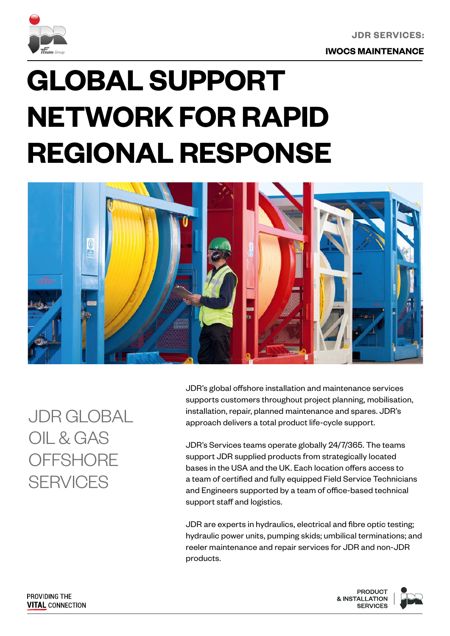

**JDR SERVICES:**

**IWOCS MAINTENANCE**

# **GLOBAL SUPPORT NETWORK FOR RAPID REGIONAL RESPONSE**



JDR GLOBAL OIL & GAS **OFFSHORE SERVICES** 

JDR's global offshore installation and maintenance services supports customers throughout project planning, mobilisation, installation, repair, planned maintenance and spares. JDR's approach delivers a total product life-cycle support.

JDR's Services teams operate globally 24/7/365. The teams support JDR supplied products from strategically located bases in the USA and the UK. Each location offers access to a team of certified and fully equipped Field Service Technicians and Engineers supported by a team of office-based technical support staff and logistics.

JDR are experts in hydraulics, electrical and fibre optic testing; hydraulic power units, pumping skids; umbilical terminations; and reeler maintenance and repair services for JDR and non-JDR products.